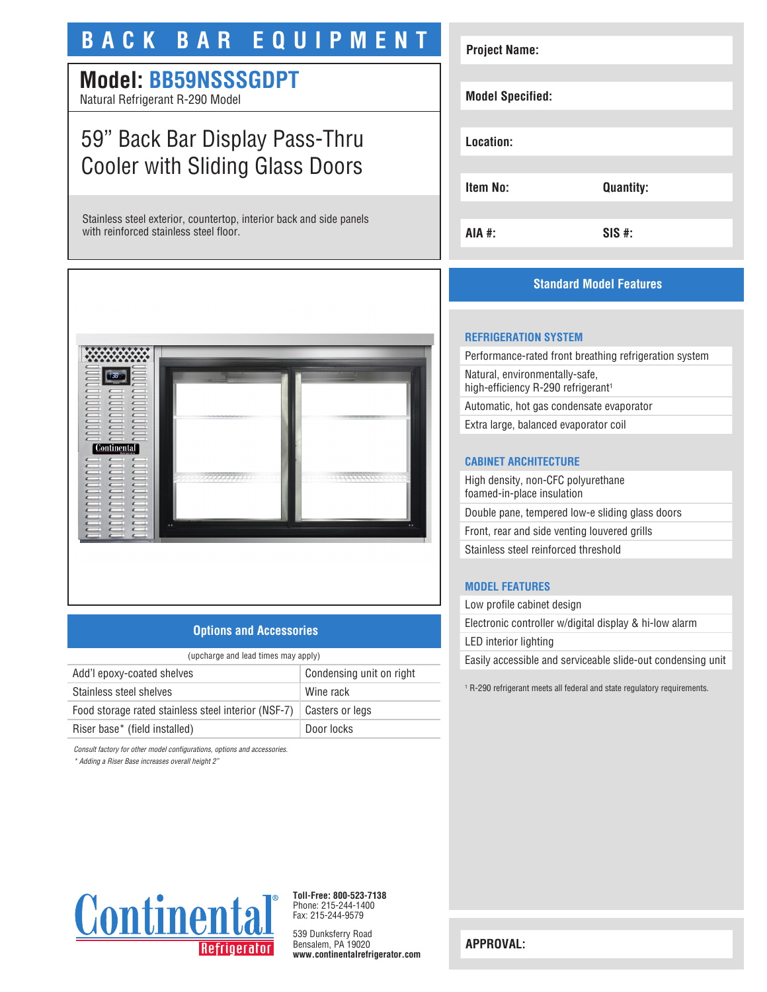# **BACK BAR EQUIPMENT**

# **Model: BB59NSSSGDPT**

Natural Refrigerant R-290 Model

## 59" Back Bar Display Pass-Thru Cooler with Sliding Glass Doors

Stainless steel exterior, countertop, interior back and side panels with reinforced stainless steel floor.



#### **Options and Accessories**

| (upcharge and lead times may apply)                 |                          |
|-----------------------------------------------------|--------------------------|
| Add'l epoxy-coated shelves                          | Condensing unit on right |
| Stainless steel shelves                             | Wine rack                |
| Food storage rated stainless steel interior (NSF-7) | Casters or legs          |
| Riser base* (field installed)                       | Door locks               |

*Consult factory for other model configurations, options and accessories.*

*\* Adding a Riser Base increases overall height 2"*

# **Project Name: Model Specified: Location: Item No: Quantity: AIA #: SIS #:**

## **Standard Model Features**

#### **REFRIGERATION SYSTEM**

Performance-rated front breathing refrigeration system Natural, environmentally-safe, high-efficiency R-290 refrigerant<sup>1</sup> Automatic, hot gas condensate evaporator

Extra large, balanced evaporator coil

### **CABINET ARCHITECTURE**

High density, non-CFC polyurethane foamed-in-place insulation Double pane, tempered low-e sliding glass doors Front, rear and side venting louvered grills Stainless steel reinforced threshold

## **MODEL FEATURES**

Low profile cabinet design Electronic controller w/digital display & hi-low alarm LED interior lighting Easily accessible and serviceable slide-out condensing unit

1 R-290 refrigerant meets all federal and state regulatory requirements.



**Toll-Free: 800-523-7138** Phone: 215-244-1400 Fax: 215-244-9579

539 Dunksferry Road Bensalem, PA 19020 **www.continentalrefrigerator.com** 

**APPROVAL:**